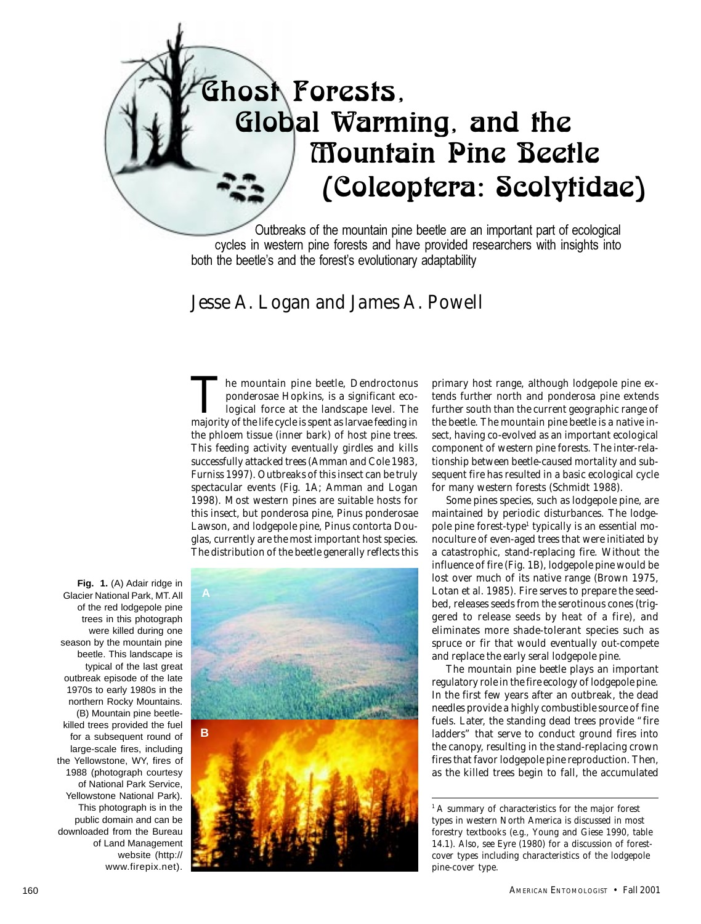# Ghost Forests, Global Warming, and the Mountain Pine Beetle (Coleoptera: Scolytidae)

Outbreaks of the mountain pine beetle are an important part of ecological cycles in western pine forests and have provided researchers with insights into both the beetle's and the forest's evolutionary adaptability

# *Jesse A. Logan and James A. Powell*

The mountain pine beetle, *Dendroctonus ponderosae* Hopkins, is a significant ecological force at the landscape level. The majority of the life cycle is spent as larvae feeding in the phloem tissue (inner bark) of host pine trees. This feeding activity eventually girdles and kills successfully attacked trees (Amman and Cole 1983, Furniss 1997). Outbreaks of this insect can be truly spectacular events (Fig. 1A; Amman and Logan 1998). Most western pines are suitable hosts for this insect, but ponderosa pine, *Pinus ponderosae* Lawson, and lodgepole pine, *Pinus contorta* Douglas, currently are the most important host species. The distribution of the beetle generally reflects this

**Fig. 1.** (A) Adair ridge in Glacier National Park, MT. All of the red lodgepole pine trees in this photograph were killed during one season by the mountain pine beetle. This landscape is typical of the last great outbreak episode of the late 1970s to early 1980s in the northern Rocky Mountains. (B) Mountain pine beetlekilled trees provided the fuel for a subsequent round of large-scale fires, including the Yellowstone, WY, fires of 1988 (photograph courtesy of National Park Service, Yellowstone National Park). This photograph is in the public domain and can be downloaded from the Bureau of Land Management website (http:// www.firepix.net).



primary host range, although lodgepole pine extends further north and ponderosa pine extends further south than the current geographic range of the beetle. The mountain pine beetle is a native insect, having co-evolved as an important ecological component of western pine forests. The inter-relationship between beetle-caused mortality and subsequent fire has resulted in a basic ecological cycle for many western forests (Schmidt 1988).

Some pines species, such as lodgepole pine, are maintained by periodic disturbances. The lodgepole pine forest-type<sup>1</sup> typically is an essential monoculture of even-aged trees that were initiated by a catastrophic, stand-replacing fire. Without the influence of fire (Fig. 1B), lodgepole pine would be lost over much of its native range (Brown 1975, Lotan et al. 1985). Fire serves to prepare the seedbed, releases seeds from the serotinous cones (triggered to release seeds by heat of a fire), and eliminates more shade-tolerant species such as spruce or fir that would eventually out-compete and replace the early seral lodgepole pine.

The mountain pine beetle plays an important regulatory role in the fire ecology of lodgepole pine. In the first few years after an outbreak, the dead needles provide a highly combustible source of fine fuels. Later, the standing dead trees provide "fire ladders" that serve to conduct ground fires into the canopy, resulting in the stand-replacing crown fires that favor lodgepole pine reproduction. Then, as the killed trees begin to fall, the accumulated

*<sup>1</sup>*A summary of characteristics for the major forest types in western North America is discussed in most forestry textbooks (e.g., Young and Giese 1990, table 14.1). Also, see Eyre (1980) for a discussion of forestcover types including characteristics of the lodgepole pine-cover type.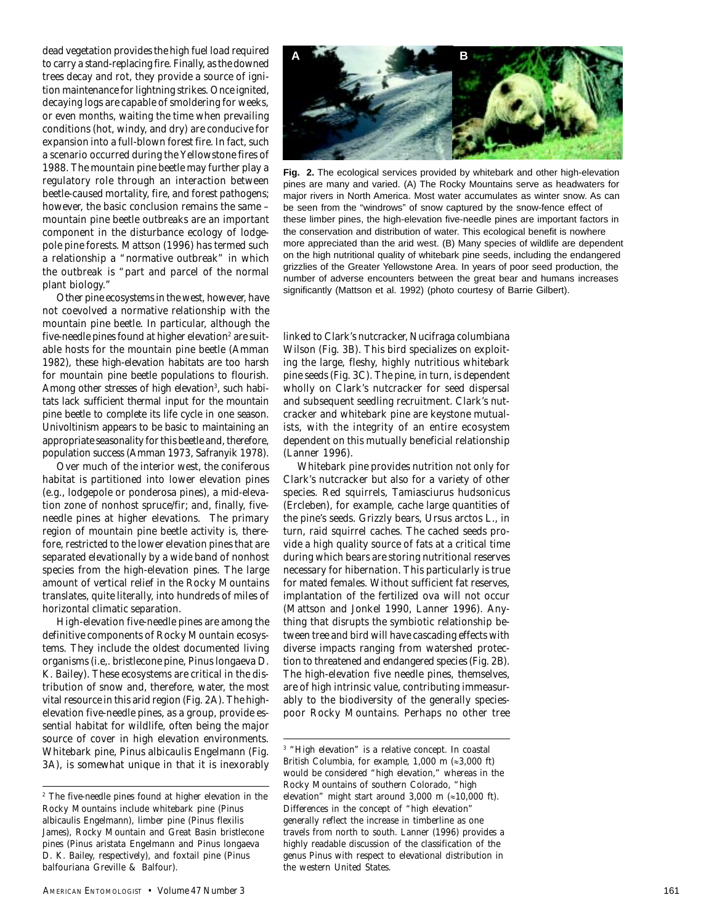dead vegetation provides the high fuel load required to carry a stand-replacing fire. Finally, as the downed trees decay and rot, they provide a source of ignition maintenance for lightning strikes. Once ignited, decaying logs are capable of smoldering for weeks, or even months, waiting the time when prevailing conditions (hot, windy, and dry) are conducive for expansion into a full-blown forest fire. In fact, such a scenario occurred during the Yellowstone fires of 1988. The mountain pine beetle may further play a regulatory role through an interaction between beetle-caused mortality, fire, and forest pathogens; however, the basic conclusion remains the same – mountain pine beetle outbreaks are an important component in the disturbance ecology of lodgepole pine forests. Mattson (1996) has termed such a relationship a "normative outbreak" in which the outbreak is "part and parcel of the normal plant biology."

Other pine ecosystems in the west, however, have not coevolved a normative relationship with the mountain pine beetle. In particular, although the five-needle pines found at higher elevation<sup>2</sup> are suitable hosts for the mountain pine beetle (Amman 1982), these high-elevation habitats are too harsh for mountain pine beetle populations to flourish. Among other stresses of high elevation<sup>3</sup>, such habitats lack sufficient thermal input for the mountain pine beetle to complete its life cycle in one season. Univoltinism appears to be basic to maintaining an appropriate seasonality for this beetle and, therefore, population success (Amman 1973, Safranyik 1978).

Over much of the interior west, the coniferous habitat is partitioned into lower elevation pines (e.g., lodgepole or ponderosa pines), a mid-elevation zone of nonhost spruce/fir; and, finally, fiveneedle pines at higher elevations. The primary region of mountain pine beetle activity is, therefore, restricted to the lower elevation pines that are separated elevationally by a wide band of nonhost species from the high-elevation pines. The large amount of vertical relief in the Rocky Mountains translates, quite literally, into hundreds of miles of horizontal climatic separation.

High-elevation five-needle pines are among the definitive components of Rocky Mountain ecosystems. They include the oldest documented living organisms (i.e,. bristlecone pine, *Pinus longaeva* D. K. Bailey). These ecosystems are critical in the distribution of snow and, therefore, water, the most vital resource in this arid region (Fig. 2A). The highelevation five-needle pines, as a group, provide essential habitat for wildlife, often being the major source of cover in high elevation environments. Whitebark pine, *Pinus albicaulis* Engelmann (Fig. 3A), is somewhat unique in that it is inexorably



**Fig. 2.** The ecological services provided by whitebark and other high-elevation pines are many and varied. (A) The Rocky Mountains serve as headwaters for major rivers in North America. Most water accumulates as winter snow. As can be seen from the "windrows" of snow captured by the snow-fence effect of these limber pines, the high-elevation five-needle pines are important factors in the conservation and distribution of water. This ecological benefit is nowhere more appreciated than the arid west. (B) Many species of wildlife are dependent on the high nutritional quality of whitebark pine seeds, including the endangered grizzlies of the Greater Yellowstone Area. In years of poor seed production, the number of adverse encounters between the great bear and humans increases significantly (Mattson et al. 1992) (photo courtesy of Barrie Gilbert).

linked to Clark's nutcracker, *Nucifraga columbiana* Wilson (Fig. 3B). This bird specializes on exploiting the large, fleshy, highly nutritious whitebark pine seeds (Fig. 3C). The pine, in turn, is dependent wholly on Clark's nutcracker for seed dispersal and subsequent seedling recruitment. Clark's nutcracker and whitebark pine are keystone mutualists, with the integrity of an entire ecosystem dependent on this mutually beneficial relationship (Lanner 1996).

Whitebark pine provides nutrition not only for Clark's nutcracker but also for a variety of other species. Red squirrels, *Tamiasciurus hudsonicus* (Ercleben), for example, cache large quantities of the pine's seeds. Grizzly bears, *Ursus arctos* L., in turn, raid squirrel caches. The cached seeds provide a high quality source of fats at a critical time during which bears are storing nutritional reserves necessary for hibernation. This particularly is true for mated females. Without sufficient fat reserves, implantation of the fertilized ova will not occur (Mattson and Jonkel 1990, Lanner 1996). Anything that disrupts the symbiotic relationship between tree and bird will have cascading effects with diverse impacts ranging from watershed protection to threatened and endangered species (Fig. 2B). The high-elevation five needle pines, themselves, are of high intrinsic value, contributing immeasurably to the biodiversity of the generally speciespoor Rocky Mountains. Perhaps no other tree

*<sup>2</sup>* The five-needle pines found at higher elevation in the Rocky Mountains include whitebark pine (*Pinus albicaulis* Engelmann), limber pine (*Pinus flexilis* James), Rocky Mountain and Great Basin bristlecone pines (*Pinus aristata* Engelmann and *Pinus longaeva* D. K. Bailey, respectively), and foxtail pine (*Pinus balfouriana* Greville & Balfour).

<sup>3</sup> "High elevation" is a relative concept. In coastal British Columbia, for example, 1,000 m  $(\approx 3,000 \text{ ft})$ would be considered "high elevation," whereas in the Rocky Mountains of southern Colorado, "high elevation" might start around 3,000 m  $(\approx 10,000 \text{ ft})$ . Differences in the concept of "high elevation" generally reflect the increase in timberline as one travels from north to south. Lanner (1996) provides a highly readable discussion of the classification of the genus *Pinus* with respect to elevational distribution in the western United States.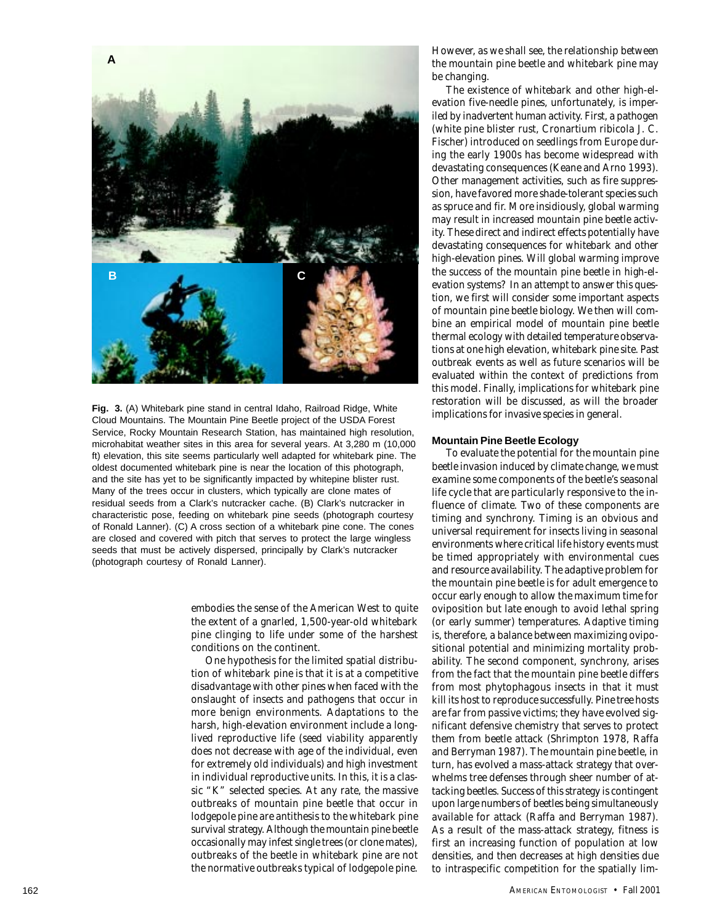

**Fig. 3.** (A) Whitebark pine stand in central Idaho, Railroad Ridge, White Cloud Mountains. The Mountain Pine Beetle project of the USDA Forest Service, Rocky Mountain Research Station, has maintained high resolution, microhabitat weather sites in this area for several years. At 3,280 m (10,000 ft) elevation, this site seems particularly well adapted for whitebark pine. The oldest documented whitebark pine is near the location of this photograph, and the site has yet to be significantly impacted by whitepine blister rust. Many of the trees occur in clusters, which typically are clone mates of residual seeds from a Clark's nutcracker cache. (B) Clark's nutcracker in characteristic pose, feeding on whitebark pine seeds (photograph courtesy of Ronald Lanner). (C) A cross section of a whitebark pine cone. The cones are closed and covered with pitch that serves to protect the large wingless seeds that must be actively dispersed, principally by Clark's nutcracker (photograph courtesy of Ronald Lanner).

> embodies the sense of the American West to quite the extent of a gnarled, 1,500-year-old whitebark pine clinging to life under some of the harshest conditions on the continent.

> One hypothesis for the limited spatial distribution of whitebark pine is that it is at a competitive disadvantage with other pines when faced with the onslaught of insects and pathogens that occur in more benign environments. Adaptations to the harsh, high-elevation environment include a longlived reproductive life (seed viability apparently does not decrease with age of the individual, even for extremely old individuals) and high investment in individual reproductive units. In this, it is a classic "K" selected species. At any rate, the massive outbreaks of mountain pine beetle that occur in lodgepole pine are antithesis to the whitebark pine survival strategy. Although the mountain pine beetle occasionally may infest single trees (or clone mates), outbreaks of the beetle in whitebark pine are not the normative outbreaks typical of lodgepole pine.

However, as we shall see, the relationship between the mountain pine beetle and whitebark pine may be changing.

The existence of whitebark and other high-elevation five-needle pines, unfortunately, is imperiled by inadvertent human activity. First, a pathogen (white pine blister rust, *Cronartium ribicola* J. C. Fischer) introduced on seedlings from Europe during the early 1900s has become widespread with devastating consequences (Keane and Arno 1993). Other management activities, such as fire suppression, have favored more shade-tolerant species such as spruce and fir. More insidiously, global warming may result in increased mountain pine beetle activity. These direct and indirect effects potentially have devastating consequences for whitebark and other high-elevation pines. Will global warming improve the success of the mountain pine beetle in high-elevation systems? In an attempt to answer this question, we first will consider some important aspects of mountain pine beetle biology. We then will combine an empirical model of mountain pine beetle thermal ecology with detailed temperature observations at one high elevation, whitebark pine site. Past outbreak events as well as future scenarios will be evaluated within the context of predictions from this model. Finally, implications for whitebark pine restoration will be discussed, as will the broader implications for invasive species in general.

# **Mountain Pine Beetle Ecology**

To evaluate the potential for the mountain pine beetle invasion induced by climate change, we must examine some components of the beetle's seasonal life cycle that are particularly responsive to the influence of climate. Two of these components are timing and synchrony. Timing is an obvious and universal requirement for insects living in seasonal environments where critical life history events must be timed appropriately with environmental cues and resource availability. The adaptive problem for the mountain pine beetle is for adult emergence to occur early enough to allow the maximum time for oviposition but late enough to avoid lethal spring (or early summer) temperatures. Adaptive timing is, therefore, a balance between maximizing ovipositional potential and minimizing mortality probability. The second component, synchrony, arises from the fact that the mountain pine beetle differs from most phytophagous insects in that it must kill its host to reproduce successfully. Pine tree hosts are far from passive victims; they have evolved significant defensive chemistry that serves to protect them from beetle attack (Shrimpton 1978, Raffa and Berryman 1987). The mountain pine beetle, in turn, has evolved a mass-attack strategy that overwhelms tree defenses through sheer number of attacking beetles. Success of this strategy is contingent upon large numbers of beetles being simultaneously available for attack (Raffa and Berryman 1987). As a result of the mass-attack strategy, fitness is first an increasing function of population at low densities, and then decreases at high densities due to intraspecific competition for the spatially lim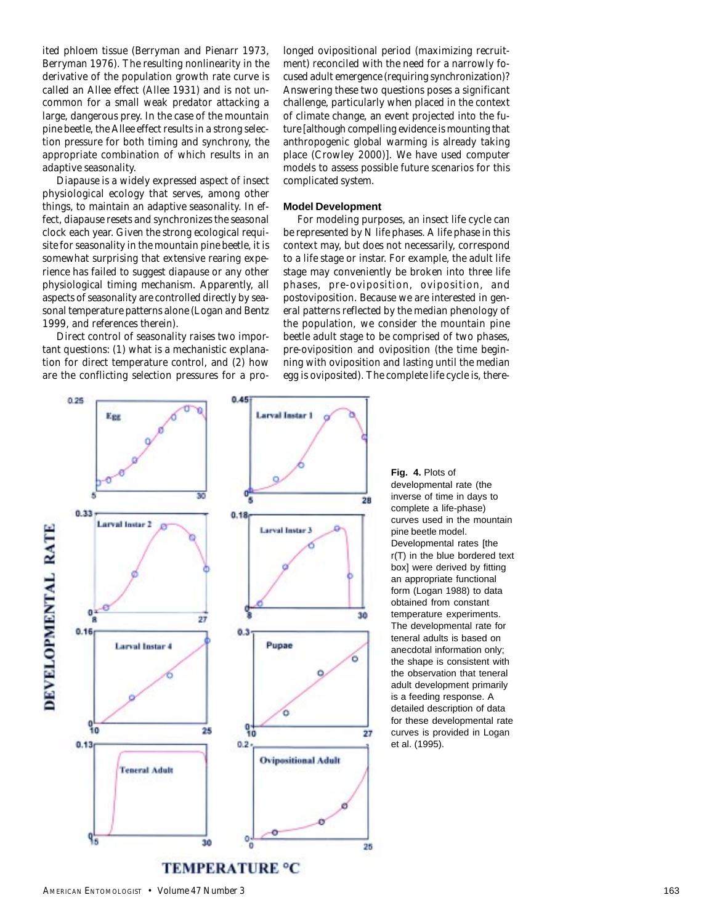ited phloem tissue (Berryman and Pienarr 1973, Berryman 1976). The resulting nonlinearity in the derivative of the population growth rate curve is called an Allee effect (Allee 1931) and is not uncommon for a small weak predator attacking a large, dangerous prey. In the case of the mountain pine beetle, the Allee effect results in a strong selection pressure for both timing and synchrony, the appropriate combination of which results in an adaptive seasonality.

Diapause is a widely expressed aspect of insect physiological ecology that serves, among other things, to maintain an adaptive seasonality. In effect, diapause resets and synchronizes the seasonal clock each year. Given the strong ecological requisite for seasonality in the mountain pine beetle, it is somewhat surprising that extensive rearing experience has failed to suggest diapause or any other physiological timing mechanism. Apparently, all aspects of seasonality are controlled directly by seasonal temperature patterns alone (Logan and Bentz 1999, and references therein).

Direct control of seasonality raises two important questions: (1) what is a mechanistic explanation for direct temperature control, and (2) how are the conflicting selection pressures for a prolonged ovipositional period (maximizing recruitment) reconciled with the need for a narrowly focused adult emergence (requiring synchronization)? Answering these two questions poses a significant challenge, particularly when placed in the context of climate change, an event projected into the future [although compelling evidence is mounting that anthropogenic global warming is already taking place (Crowley 2000)]. We have used computer models to assess possible future scenarios for this complicated system.

# **Model Development**

For modeling purposes, an insect life cycle can be represented by *N* life phases. A life phase in this context may, but does not necessarily, correspond to a life stage or instar. For example, the adult life stage may conveniently be broken into three life phases, pre-oviposition, oviposition, and postoviposition. Because we are interested in general patterns reflected by the median phenology of the population, we consider the mountain pine beetle adult stage to be comprised of two phases, pre-oviposition and oviposition (the time beginning with oviposition and lasting until the median egg is oviposited). The complete life cycle is, there-



developmental rate (the inverse of time in days to complete a life-phase) curves used in the mountain pine beetle model. Developmental rates [the r(T) in the blue bordered text box] were derived by fitting an appropriate functional form (Logan 1988) to data obtained from constant temperature experiments. The developmental rate for teneral adults is based on anecdotal information only; the shape is consistent with the observation that teneral adult development primarily is a feeding response. A detailed description of data for these developmental rate curves is provided in Logan et al. (1995).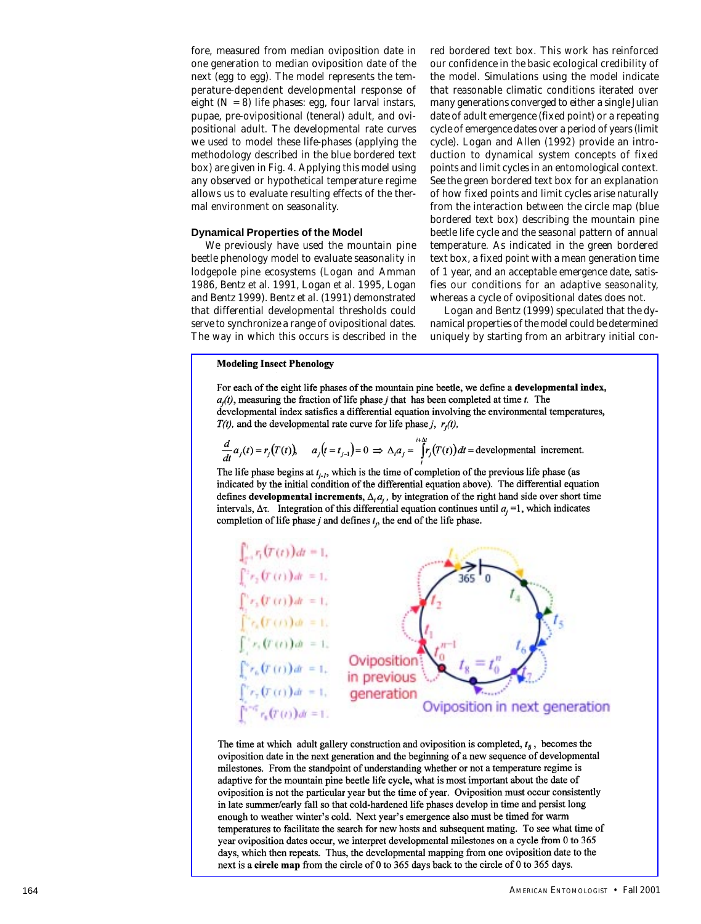fore, measured from median oviposition date in one generation to median oviposition date of the next (egg to egg). The model represents the temperature-dependent developmental response of eight  $(N = 8)$  life phases: egg, four larval instars, pupae, pre-ovipositional (teneral) adult, and ovipositional adult. The developmental rate curves we used to model these life-phases (applying the methodology described in the blue bordered text box) are given in Fig. 4. Applying this model using any observed or hypothetical temperature regime allows us to evaluate resulting effects of the thermal environment on seasonality.

# **Dynamical Properties of the Model**

We previously have used the mountain pine beetle phenology model to evaluate seasonality in lodgepole pine ecosystems (Logan and Amman 1986, Bentz et al. 1991, Logan et al. 1995, Logan and Bentz 1999). Bentz et al. (1991) demonstrated that differential developmental thresholds could serve to synchronize a range of ovipositional dates. The way in which this occurs is described in the

red bordered text box. This work has reinforced our confidence in the basic ecological credibility of the model. Simulations using the model indicate that reasonable climatic conditions iterated over many generations converged to either a single Julian date of adult emergence (fixed point) or a repeating cycle of emergence dates over a period of years (limit cycle). Logan and Allen (1992) provide an introduction to dynamical system concepts of fixed points and limit cycles in an entomological context. See the green bordered text box for an explanation of how fixed points and limit cycles arise naturally from the interaction between the circle map (blue bordered text box) describing the mountain pine beetle life cycle and the seasonal pattern of annual temperature. As indicated in the green bordered text box, a fixed point with a mean generation time of 1 year, and an acceptable emergence date, satisfies our conditions for an adaptive seasonality, whereas a cycle of ovipositional dates does not.

Logan and Bentz (1999) speculated that the dynamical properties of the model could be determined uniquely by starting from an arbitrary initial con-

#### **Modeling Insect Phenology**

For each of the eight life phases of the mountain pine beetle, we define a developmental index,  $a_i(t)$ , measuring the fraction of life phase *j* that has been completed at time *t*. The developmental index satisfies a differential equation involving the environmental temperatures,  $T(t)$ , and the developmental rate curve for life phase j,  $r<sub>i</sub>(t)$ ,

$$
\frac{d}{dt}a_j(t) = r_j(T(t))
$$
\n
$$
a_j(t = t_{j-1}) = 0 \implies \Delta_i a_j = \int_{t}^{t + \Delta_i} r_j(T(t)) dt = \text{developmental increment.}
$$

The life phase begins at  $t_{i-1}$ , which is the time of completion of the previous life phase (as indicated by the initial condition of the differential equation above). The differential equation defines developmental increments,  $\Delta_i a_i$ , by integration of the right hand side over short time intervals,  $\Delta \tau$ . Integration of this differential equation continues until  $a_i = 1$ , which indicates completion of life phase  $j$  and defines  $t_i$ , the end of the life phase.



The time at which adult gallery construction and oviposition is completed,  $t_8$ , becomes the oviposition date in the next generation and the beginning of a new sequence of developmental milestones. From the standpoint of understanding whether or not a temperature regime is adaptive for the mountain pine beetle life cycle, what is most important about the date of oviposition is not the particular year but the time of year. Oviposition must occur consistently in late summer/early fall so that cold-hardened life phases develop in time and persist long enough to weather winter's cold. Next year's emergence also must be timed for warm temperatures to facilitate the search for new hosts and subsequent mating. To see what time of year oviposition dates occur, we interpret developmental milestones on a cycle from 0 to 365 days, which then repeats. Thus, the developmental mapping from one oviposition date to the next is a circle map from the circle of 0 to 365 days back to the circle of 0 to 365 days.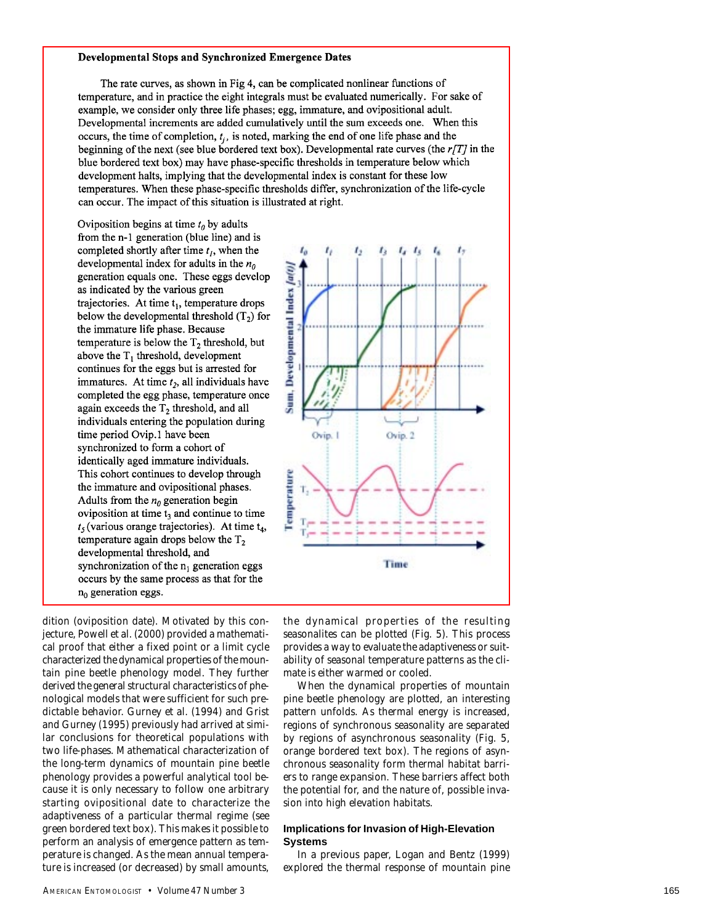#### **Developmental Stops and Synchronized Emergence Dates**

The rate curves, as shown in Fig 4, can be complicated nonlinear functions of temperature, and in practice the eight integrals must be evaluated numerically. For sake of example, we consider only three life phases; egg, immature, and ovipositional adult. Developmental increments are added cumulatively until the sum exceeds one. When this occurs, the time of completion,  $t_i$ , is noted, marking the end of one life phase and the beginning of the next (see blue bordered text box). Developmental rate curves (the  $r/T$ ) in the blue bordered text box) may have phase-specific thresholds in temperature below which development halts, implying that the developmental index is constant for these low temperatures. When these phase-specific thresholds differ, synchronization of the life-cycle can occur. The impact of this situation is illustrated at right.

Oviposition begins at time  $t_0$  by adults from the n-1 generation (blue line) and is completed shortly after time  $t<sub>l</sub>$ , when the developmental index for adults in the  $n_0$ generation equals one. These eggs develop as indicated by the various green trajectories. At time  $t_1$ , temperature drops below the developmental threshold  $(T_2)$  for the immature life phase. Because temperature is below the  $T_2$  threshold, but above the  $T_1$  threshold, development continues for the eggs but is arrested for immatures. At time  $t_2$ , all individuals have completed the egg phase, temperature once again exceeds the  $T_2$  threshold, and all individuals entering the population during time period Ovip.1 have been synchronized to form a cohort of identically aged immature individuals. This cohort continues to develop through the immature and ovipositional phases. Adults from the  $n_0$  generation begin oviposition at time  $t_3$  and continue to time  $t<sub>5</sub>$  (various orange trajectories). At time  $t<sub>4</sub>$ , temperature again drops below the  $T_2$ developmental threshold, and synchronization of the  $n_1$  generation eggs occurs by the same process as that for the  $n_0$  generation eggs.

dition (oviposition date). Motivated by this conjecture, Powell et al. (2000) provided a mathematical proof that either a fixed point or a limit cycle characterized the dynamical properties of the mountain pine beetle phenology model. They further derived the general structural characteristics of phenological models that were sufficient for such predictable behavior. Gurney et al. (1994) and Grist and Gurney (1995) previously had arrived at similar conclusions for theoretical populations with two life-phases. Mathematical characterization of the long-term dynamics of mountain pine beetle phenology provides a powerful analytical tool because it is only necessary to follow one arbitrary starting ovipositional date to characterize the adaptiveness of a particular thermal regime (see green bordered text box). This makes it possible to perform an analysis of emergence pattern as temperature is changed. As the mean annual temperature is increased (or decreased) by small amounts,



the dynamical properties of the resulting seasonalites can be plotted (Fig. 5). This process provides a way to evaluate the adaptiveness or suitability of seasonal temperature patterns as the climate is either warmed or cooled.

When the dynamical properties of mountain pine beetle phenology are plotted, an interesting pattern unfolds. As thermal energy is increased, regions of synchronous seasonality are separated by regions of asynchronous seasonality (Fig. 5, orange bordered text box). The regions of asynchronous seasonality form thermal habitat barriers to range expansion. These barriers affect both the potential for, and the nature of, possible invasion into high elevation habitats.

# **Implications for Invasion of High-Elevation Systems**

In a previous paper, Logan and Bentz (1999) explored the thermal response of mountain pine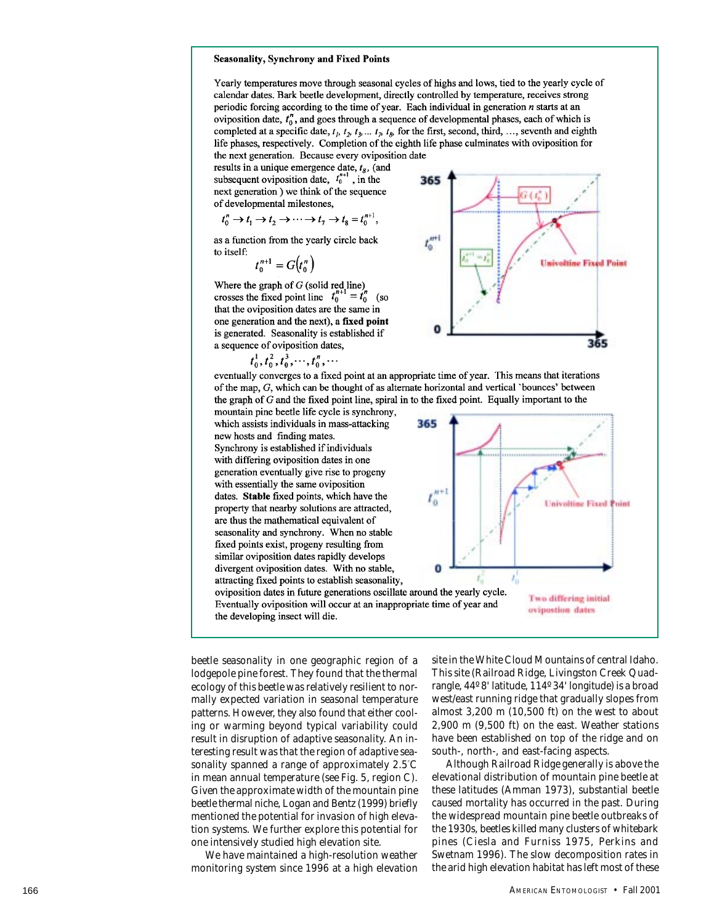#### **Seasonality, Synchrony and Fixed Points**

Yearly temperatures move through seasonal cycles of highs and lows, tied to the yearly cycle of calendar dates. Bark beetle development, directly controlled by temperature, receives strong periodic forcing according to the time of year. Each individual in generation  $n$  starts at an oviposition date,  $t_0^r$ , and goes through a sequence of developmental phases, each of which is completed at a specific date,  $t_1$ ,  $t_2$ ,  $t_3$ ...,  $t_n$ ,  $t_n$  for the first, second, third, ..., seventh and eighth life phases, respectively. Completion of the eighth life phase culminates with oviposition for the next generation. Because every oviposition date

365

results in a unique emergence date,  $t_8$ , (and subsequent oviposition date,  $t_0^{n+1}$ , in the next generation) we think of the sequence of developmental milestones,

$$
t_0^n \to t_1 \to t_2 \to \cdots \to t_7 \to t_8 = t_0^{n+1},
$$

as a function from the yearly circle back to itself:

 $t_0^{n+1} = G(t_0^n)$ 

Where the graph of G (solid red line)<br>crosses the fixed point line  $t_0^{n+1} = t_0^n$  (so that the oviposition dates are the same in one generation and the next), a fixed point is generated. Seasonality is established if a sequence of oviposition dates,

$$
t_0^1, t_0^2, t_0^3, \dots, t_0^n, \dots
$$

 $t_{\alpha}^{\text{m-l}}$ **Univoltine Fixed Point** 365

eventually converges to a fixed point at an appropriate time of year. This means that iterations of the map, G, which can be thought of as alternate horizontal and vertical `bounces' between the graph of  $G$  and the fixed point line, spiral in to the fixed point. Equally important to the

mountain pine beetle life cycle is synchrony, which assists individuals in mass-attacking new hosts and finding mates. Synchrony is established if individuals with differing oviposition dates in one generation eventually give rise to progeny with essentially the same oviposition dates. Stable fixed points, which have the property that nearby solutions are attracted, are thus the mathematical equivalent of seasonality and synchrony. When no stable fixed points exist, progeny resulting from similar oviposition dates rapidly develops divergent oviposition dates. With no stable, attracting fixed points to establish seasonality,

वतड  $t_0^{n+1}$ **Univoltine Fixed Point** Ω £, Two differing initial ovipostion dates

oviposition dates in future generations oscillate around the yearly cycle. Eventually oviposition will occur at an inappropriate time of year and the developing insect will die.

beetle seasonality in one geographic region of a lodgepole pine forest. They found that the thermal ecology of this beetle was relatively resilient to normally expected variation in seasonal temperature patterns. However, they also found that either cooling or warming beyond typical variability could result in disruption of adaptive seasonality. An interesting result was that the region of adaptive seasonality spanned a range of approximately 2.5**°**C in mean annual temperature (see Fig. 5, region C). Given the approximate width of the mountain pine beetle thermal niche, Logan and Bentz (1999) briefly mentioned the potential for invasion of high elevation systems. We further explore this potential for one intensively studied high elevation site.

We have maintained a high-resolution weather monitoring system since 1996 at a high elevation site in the White Cloud Mountains of central Idaho. This site (Railroad Ridge, Livingston Creek Quadrangle, 44º 8' latitude, 114º 34' longitude) is a broad west/east running ridge that gradually slopes from almost 3,200 m (10,500 ft) on the west to about 2,900 m (9,500 ft) on the east. Weather stations have been established on top of the ridge and on south-, north-, and east-facing aspects.

Although Railroad Ridge generally is above the elevational distribution of mountain pine beetle at these latitudes (Amman 1973), substantial beetle caused mortality has occurred in the past. During the widespread mountain pine beetle outbreaks of the 1930s, beetles killed many clusters of whitebark pines (Ciesla and Furniss 1975, Perkins and Swetnam 1996). The slow decomposition rates in the arid high elevation habitat has left most of these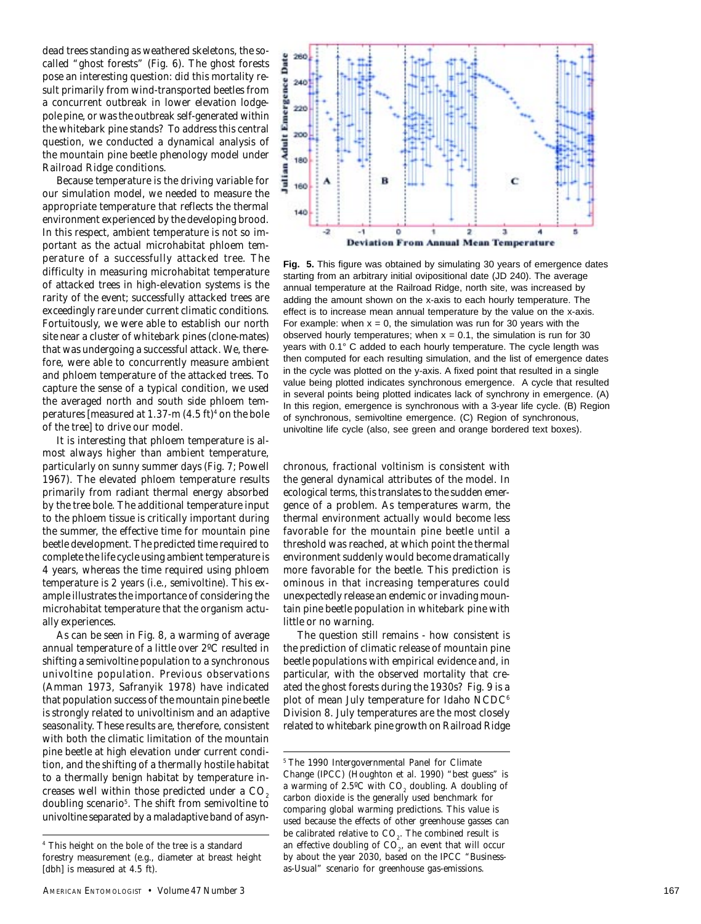dead trees standing as weathered skeletons, the socalled "ghost forests" (Fig. 6). The ghost forests pose an interesting question: did this mortality result primarily from wind-transported beetles from a concurrent outbreak in lower elevation lodgepole pine, or was the outbreak self-generated within the whitebark pine stands? To address this central question, we conducted a dynamical analysis of the mountain pine beetle phenology model under Railroad Ridge conditions.

Because temperature is the driving variable for our simulation model, we needed to measure the appropriate temperature that reflects the thermal environment experienced by the developing brood. In this respect, ambient temperature is not so important as the actual microhabitat phloem temperature of a successfully attacked tree. The difficulty in measuring microhabitat temperature of attacked trees in high-elevation systems is the rarity of the event; successfully attacked trees are exceedingly rare under current climatic conditions. Fortuitously, we were able to establish our north site near a cluster of whitebark pines (clone-mates) that was undergoing a successful attack. We, therefore, were able to concurrently measure ambient and phloem temperature of the attacked trees. To capture the sense of a typical condition, we used the averaged north and south side phloem temperatures [measured at 1.37-m (4.5 ft)<sup>4</sup> on the bole of the tree] to drive our model.

It is interesting that phloem temperature is almost always higher than ambient temperature, particularly on sunny summer days (Fig. 7; Powell 1967). The elevated phloem temperature results primarily from radiant thermal energy absorbed by the tree bole. The additional temperature input to the phloem tissue is critically important during the summer, the effective time for mountain pine beetle development. The predicted time required to complete the life cycle using ambient temperature is 4 years, whereas the time required using phloem temperature is 2 years (i.e., semivoltine). This example illustrates the importance of considering the microhabitat temperature that the organism actually experiences.

As can be seen in Fig. 8, a warming of average annual temperature of a little over 2ºC resulted in shifting a semivoltine population to a synchronous univoltine population. Previous observations (Amman 1973, Safranyik 1978) have indicated that population success of the mountain pine beetle is strongly related to univoltinism and an adaptive seasonality. These results are, therefore, consistent with both the climatic limitation of the mountain pine beetle at high elevation under current condition, and the shifting of a thermally hostile habitat to a thermally benign habitat by temperature increases well within those predicted under a  $CO<sub>2</sub>$ doubling scenario<sup>5</sup>. The shift from semivoltine to univoltine separated by a maladaptive band of asyn-



**Fig. 5.** This figure was obtained by simulating 30 years of emergence dates starting from an arbitrary initial ovipositional date (JD 240). The average annual temperature at the Railroad Ridge, north site, was increased by adding the amount shown on the x-axis to each hourly temperature. The effect is to increase mean annual temperature by the value on the x-axis. For example: when  $x = 0$ , the simulation was run for 30 years with the observed hourly temperatures; when  $x = 0.1$ , the simulation is run for 30 years with 0.1° C added to each hourly temperature. The cycle length was then computed for each resulting simulation, and the list of emergence dates in the cycle was plotted on the y-axis. A fixed point that resulted in a single value being plotted indicates synchronous emergence. A cycle that resulted in several points being plotted indicates lack of synchrony in emergence. (A) In this region, emergence is synchronous with a 3-year life cycle. (B) Region of synchronous, semivoltine emergence. (C) Region of synchronous, univoltine life cycle (also, see green and orange bordered text boxes).

chronous, fractional voltinism is consistent with the general dynamical attributes of the model. In ecological terms, this translates to the sudden emergence of a problem. As temperatures warm, the thermal environment actually would become less favorable for the mountain pine beetle until a threshold was reached, at which point the thermal environment suddenly would become dramatically more favorable for the beetle. This prediction is ominous in that increasing temperatures could unexpectedly release an endemic or invading mountain pine beetle population in whitebark pine with little or no warning.

The question still remains - how consistent is the prediction of climatic release of mountain pine beetle populations with empirical evidence and, in particular, with the observed mortality that created the ghost forests during the 1930s? Fig. 9 is a plot of mean July temperature for Idaho NCDC<sup>6</sup> Division 8. July temperatures are the most closely related to whitebark pine growth on Railroad Ridge

<sup>4</sup> This height on the bole of the tree is a standard forestry measurement (e.g., diameter at breast height [dbh] is measured at 4.5 ft).

<sup>5</sup> The 1990 Intergovernmental Panel for Climate Change (IPCC) (Houghton et al. 1990) "best guess" is a warming of  $2.5^{\circ}$ C with CO<sub>2</sub> doubling. A doubling of carbon dioxide is the generally used benchmark for comparing global warming predictions. This value is used because the effects of other greenhouse gasses can be calibrated relative to CO<sub>2</sub>. The combined result is an effective doubling of  $\mathrm{CO}_2^{}$ , an event that will occur by about the year 2030, based on the IPCC "Businessas-Usual" scenario for greenhouse gas-emissions.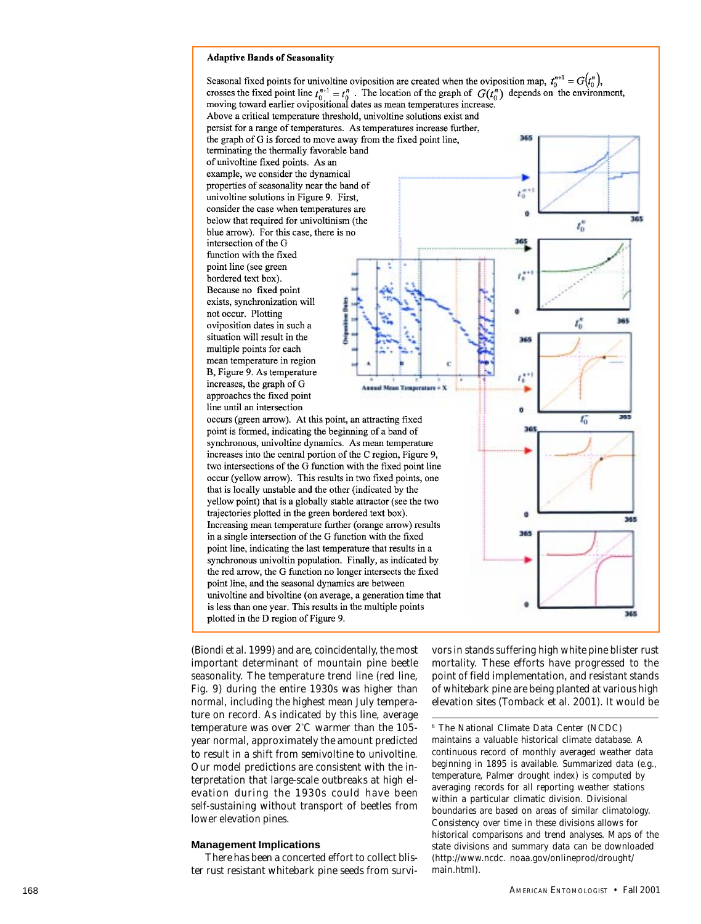#### **Adaptive Bands of Seasonality**

Seasonal fixed points for univoltine oviposition are created when the oviposition map,  $t_0^{n+1} = G(t_0^n)$ , crosses the fixed point line  $t_0^{n+1} = t_0^n$ . The location of the graph of  $G(t_0^n)$  depends on the environment, moving toward earlier ovipositional dates as mean temperatures increase. Above a critical temperature threshold, univoltine solutions exist and persist for a range of temperatures. As temperatures increase further, the graph of G is forced to move away from the fixed point line, ri te terminating the thermally favorable band of univoltine fixed points. As an example, we consider the dynamical properties of seasonality near the band of  $t_0$ univoltine solutions in Figure 9. First, consider the case when temperatures are ö 378 below that required for univoltinism (the  $t_0^{\prime\prime}$ blue arrow). For this case, there is no intersection of the G function with the fixed point line (see green ť. bordered text box). Because no fixed point exists, synchronization will not occur. Plotting ť oviposition dates in such a situation will result in the multiple points for each mean temperature in region B, Figure 9. As temperature increases, the graph of G **Annual Mean Temperature + X** approaches the fixed point line until an intersection occurs (green arrow). At this point, an attracting fixed ťő point is formed, indicating the beginning of a band of synchronous, univoltine dynamics. As mean temperature increases into the central portion of the C region, Figure 9, two intersections of the G function with the fixed point line occur (yellow arrow). This results in two fixed points, one that is locally unstable and the other (indicated by the yellow point) that is a globally stable attractor (see the two trajectories plotted in the green bordered text box). **MA** Increasing mean temperature further (orange arrow) results 365 in a single intersection of the G function with the fixed point line, indicating the last temperature that results in a synchronous univoltin population. Finally, as indicated by the red arrow, the G function no longer intersects the fixed point line, and the seasonal dynamics are between univoltine and bivoltine (on average, a generation time that is less than one year. This results in the multiple points 365 plotted in the D region of Figure 9.

(Biondi et al. 1999) and are, coincidentally, the most important determinant of mountain pine beetle seasonality. The temperature trend line (red line, Fig. 9) during the entire 1930s was higher than normal, including the highest mean July temperature on record. As indicated by this line, average temperature was over 2° C warmer than the 105 year normal, approximately the amount predicted to result in a shift from semivoltine to univoltine. Our model predictions are consistent with the interpretation that large-scale outbreaks at high elevation during the 1930s could have been self-sustaining without transport of beetles from lower elevation pines.

#### **Management Implications**

There has been a concerted effort to collect blister rust resistant whitebark pine seeds from survivors in stands suffering high white pine blister rust mortality. These efforts have progressed to the point of field implementation, and resistant stands of whitebark pine are being planted at various high elevation sites (Tomback et al. 2001). It would be

6 The National Climate Data Center (NCDC) maintains a valuable historical climate database. A continuous record of monthly averaged weather data beginning in 1895 is available. Summarized data (e.g., temperature, Palmer drought index) is computed by averaging records for all reporting weather stations within a particular climatic division. Divisional boundaries are based on areas of similar climatology. Consistency over time in these divisions allows for historical comparisons and trend analyses. Maps of the state divisions and summary data can be downloaded (http://www.ncdc. noaa.gov/onlineprod/drought/ main.html).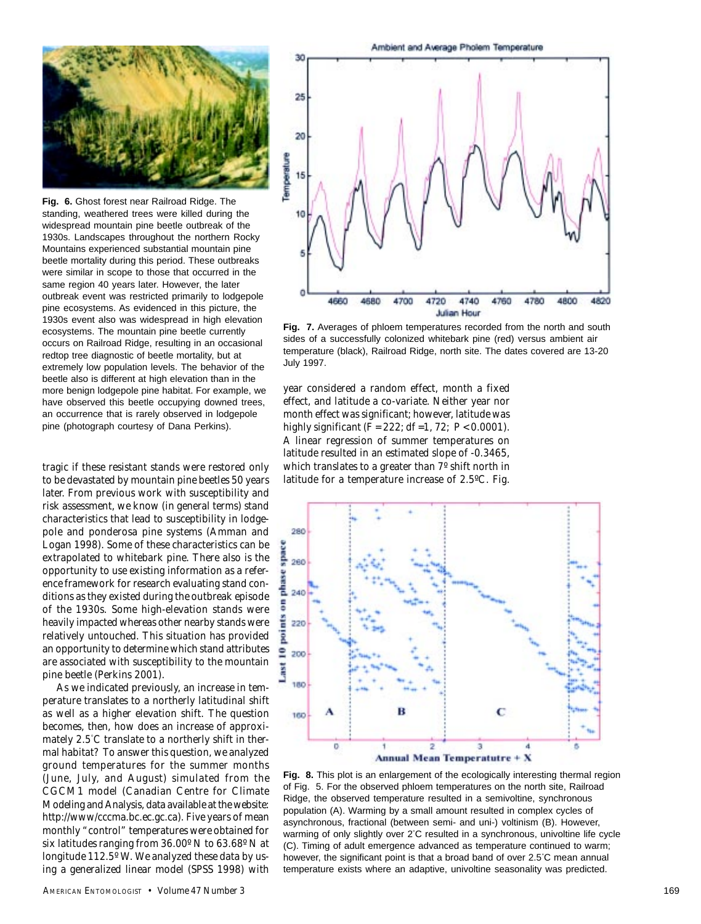

**Fig. 6.** Ghost forest near Railroad Ridge. The standing, weathered trees were killed during the widespread mountain pine beetle outbreak of the 1930s. Landscapes throughout the northern Rocky Mountains experienced substantial mountain pine beetle mortality during this period. These outbreaks were similar in scope to those that occurred in the same region 40 years later. However, the later outbreak event was restricted primarily to lodgepole pine ecosystems. As evidenced in this picture, the 1930s event also was widespread in high elevation ecosystems. The mountain pine beetle currently occurs on Railroad Ridge, resulting in an occasional redtop tree diagnostic of beetle mortality, but at extremely low population levels. The behavior of the beetle also is different at high elevation than in the more benign lodgepole pine habitat. For example, we have observed this beetle occupying downed trees, an occurrence that is rarely observed in lodgepole pine (photograph courtesy of Dana Perkins).

tragic if these resistant stands were restored only to be devastated by mountain pine beetles 50 years later. From previous work with susceptibility and risk assessment, we know (in general terms) stand characteristics that lead to susceptibility in lodgepole and ponderosa pine systems (Amman and Logan 1998). Some of these characteristics can be extrapolated to whitebark pine. There also is the opportunity to use existing information as a reference framework for research evaluating stand conditions as they existed during the outbreak episode of the 1930s. Some high-elevation stands were heavily impacted whereas other nearby stands were relatively untouched. This situation has provided an opportunity to determine which stand attributes are associated with susceptibility to the mountain pine beetle (Perkins 2001).

As we indicated previously, an increase in temperature translates to a northerly latitudinal shift as well as a higher elevation shift. The question becomes, then, how does an increase of approximately 2.5° C translate to a northerly shift in thermal habitat? To answer this question, we analyzed ground temperatures for the summer months (June, July, and August) simulated from the CGCM1 model (Canadian Centre for Climate Modeling and Analysis, data available at the website: http://www/cccma.bc.ec.gc.ca). Five years of mean monthly "control" temperatures were obtained for six latitudes ranging from 36.00º N to 63.68º N at longitude 112.5º W. We analyzed these data by using a generalized linear model (SPSS 1998) with



**Fig. 7.** Averages of phloem temperatures recorded from the north and south sides of a successfully colonized whitebark pine (red) versus ambient air temperature (black), Railroad Ridge, north site. The dates covered are 13-20 July 1997.

year considered a random effect, month a fixed effect, and latitude a co-variate. Neither year nor month effect was significant; however, latitude was highly significant (*F* = 222; df =1, 72; *P* < 0.0001). A linear regression of summer temperatures on latitude resulted in an estimated slope of -0.3465, which translates to a greater than 7º shift north in latitude for a temperature increase of 2.5ºC. Fig.



**Fig. 8.** This plot is an enlargement of the ecologically interesting thermal region of Fig. 5. For the observed phloem temperatures on the north site, Railroad Ridge, the observed temperature resulted in a semivoltine, synchronous population (A). Warming by a small amount resulted in complex cycles of asynchronous, fractional (between semi- and uni-) voltinism (B). However, warming of only slightly over 2° C resulted in a synchronous, univoltine life cycle (C). Timing of adult emergence advanced as temperature continued to warm; however, the significant point is that a broad band of over 2.5° C mean annual temperature exists where an adaptive, univoltine seasonality was predicted.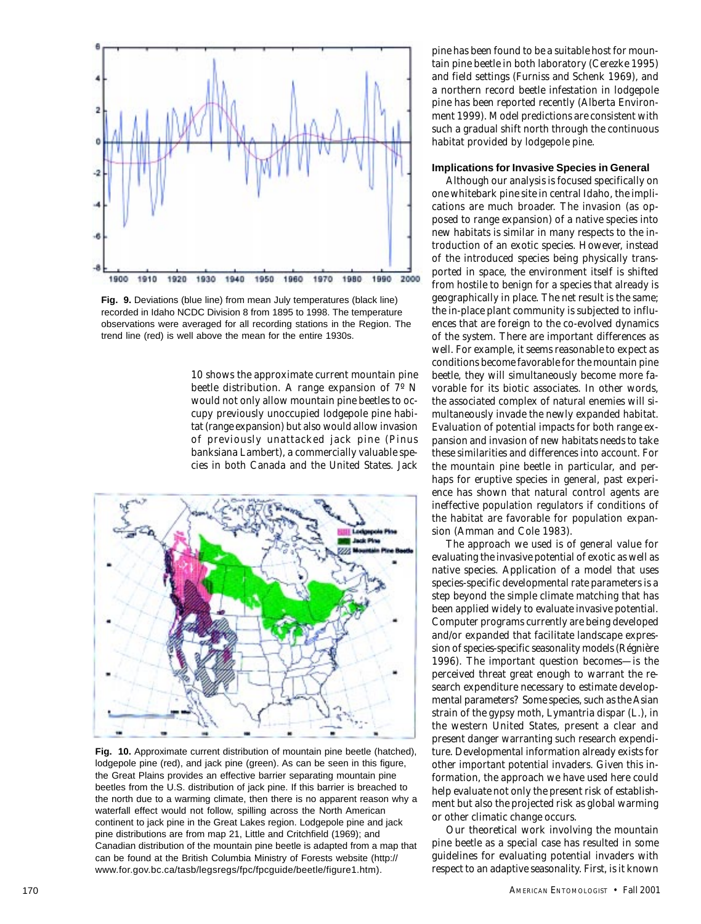

**Fig. 9.** Deviations (blue line) from mean July temperatures (black line) recorded in Idaho NCDC Division 8 from 1895 to 1998. The temperature observations were averaged for all recording stations in the Region. The trend line (red) is well above the mean for the entire 1930s.

10 shows the approximate current mountain pine beetle distribution. A range expansion of 7º N would not only allow mountain pine beetles to occupy previously unoccupied lodgepole pine habitat (range expansion) but also would allow invasion of previously unattacked jack pine (*Pinus banksiana* Lambert), a commercially valuable species in both Canada and the United States. Jack



**Fig. 10.** Approximate current distribution of mountain pine beetle (hatched), lodgepole pine (red), and jack pine (green). As can be seen in this figure, the Great Plains provides an effective barrier separating mountain pine beetles from the U.S. distribution of jack pine. If this barrier is breached to the north due to a warming climate, then there is no apparent reason why a waterfall effect would not follow, spilling across the North American continent to jack pine in the Great Lakes region. Lodgepole pine and jack pine distributions are from map 21, Little and Critchfield (1969); and Canadian distribution of the mountain pine beetle is adapted from a map that can be found at the British Columbia Ministry of Forests website (http:// www.for.gov.bc.ca/tasb/legsregs/fpc/fpcguide/beetle/figure1.htm).

pine has been found to be a suitable host for mountain pine beetle in both laboratory (Cerezke 1995) and field settings (Furniss and Schenk 1969), and a northern record beetle infestation in lodgepole pine has been reported recently (Alberta Environment 1999). Model predictions are consistent with such a gradual shift north through the continuous habitat provided by lodgepole pine.

# **Implications for Invasive Species in General**

Although our analysis is focused specifically on one whitebark pine site in central Idaho, the implications are much broader. The invasion (as opposed to range expansion) of a native species into new habitats is similar in many respects to the introduction of an exotic species. However, instead of the introduced species being physically transported in space, the environment itself is shifted from hostile to benign for a species that already is geographically in place. The net result is the same; the in-place plant community is subjected to influences that are foreign to the co-evolved dynamics of the system. There are important differences as well. For example, it seems reasonable to expect as conditions become favorable for the mountain pine beetle, they will simultaneously become more favorable for its biotic associates. In other words, the associated complex of natural enemies will simultaneously invade the newly expanded habitat. Evaluation of potential impacts for both range expansion and invasion of new habitats needs to take these similarities and differences into account. For the mountain pine beetle in particular, and perhaps for eruptive species in general, past experience has shown that natural control agents are ineffective population regulators if conditions of the habitat are favorable for population expansion (Amman and Cole 1983).

The approach we used is of general value for evaluating the invasive potential of exotic as well as native species. Application of a model that uses species-specific developmental rate parameters is a step beyond the simple climate matching that has been applied widely to evaluate invasive potential. Computer programs currently are being developed and/or expanded that facilitate landscape expression of species-specific seasonality models (Régnière 1996). The important question becomes—is the perceived threat great enough to warrant the research expenditure necessary to estimate developmental parameters? Some species, such as the Asian strain of the gypsy moth, *Lymantria dispar* (L.), in the western United States, present a clear and present danger warranting such research expenditure. Developmental information already exists for other important potential invaders. Given this information, the approach we have used here could help evaluate not only the present risk of establishment but also the projected risk as global warming or other climatic change occurs.

Our theoretical work involving the mountain pine beetle as a special case has resulted in some guidelines for evaluating potential invaders with respect to an adaptive seasonality. First, is it known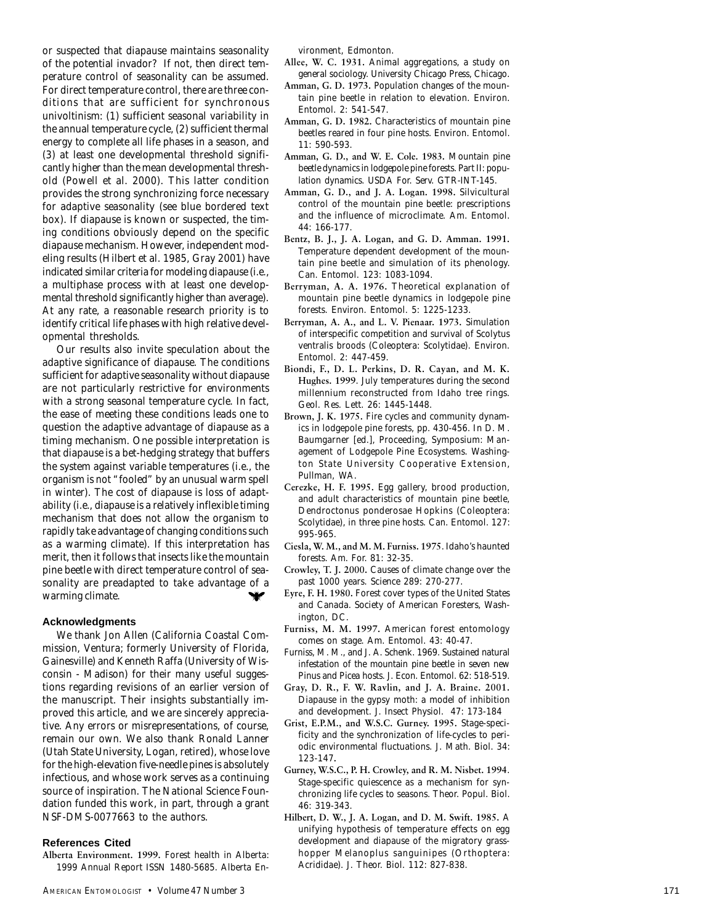or suspected that diapause maintains seasonality of the potential invador? If not, then direct temperature control of seasonality can be assumed. For direct temperature control, there are three conditions that are sufficient for synchronous univoltinism: (1) sufficient seasonal variability in the annual temperature cycle, (2) sufficient thermal energy to complete all life phases in a season, and (3) at least one developmental threshold significantly higher than the mean developmental threshold (Powell et al. 2000). This latter condition provides the strong synchronizing force necessary for adaptive seasonality (see blue bordered text box). If diapause is known or suspected, the timing conditions obviously depend on the specific diapause mechanism. However, independent modeling results (Hilbert et al. 1985, Gray 2001) have indicated similar criteria for modeling diapause (i.e., a multiphase process with at least one developmental threshold significantly higher than average). At any rate, a reasonable research priority is to identify critical life phases with high relative developmental thresholds.

Our results also invite speculation about the adaptive significance of diapause. The conditions sufficient for adaptive seasonality without diapause are not particularly restrictive for environments with a strong seasonal temperature cycle. In fact, the ease of meeting these conditions leads one to question the adaptive advantage of diapause as a timing mechanism. One possible interpretation is that diapause is a bet-hedging strategy that buffers the system against variable temperatures (i.e., the organism is not "fooled" by an unusual warm spell in winter). The cost of diapause is loss of adaptability (i.e., diapause is a relatively inflexible timing mechanism that does not allow the organism to rapidly take advantage of changing conditions such as a warming climate). If this interpretation has merit, then it follows that insects like the mountain pine beetle with direct temperature control of seasonality are preadapted to take advantage of a warming climate.  $\checkmark$ 

# **Acknowledgments**

We thank Jon Allen (California Coastal Commission, Ventura; formerly University of Florida, Gainesville) and Kenneth Raffa (University of Wisconsin - Madison) for their many useful suggestions regarding revisions of an earlier version of the manuscript. Their insights substantially improved this article, and we are sincerely appreciative. Any errors or misrepresentations, of course, remain our own. We also thank Ronald Lanner (Utah State University, Logan, retired), whose love for the high-elevation five-needle pines is absolutely infectious, and whose work serves as a continuing source of inspiration. The National Science Foundation funded this work, in part, through a grant NSF-DMS-0077663 to the authors.

# **References Cited**

**Alberta Environment. 1999.** Forest health in Alberta: 1999 Annual Report ISSN 1480-5685. Alberta Environment, Edmonton.

- **Allee, W. C. 1931.** Animal aggregations, a study on general sociology. University Chicago Press, Chicago.
- **Amman, G. D. 1973.** Population changes of the mountain pine beetle in relation to elevation. Environ. Entomol. 2: 541-547.
- **Amman, G. D. 1982.** Characteristics of mountain pine beetles reared in four pine hosts. Environ. Entomol. 11: 590-593.
- **Amman, G. D., and W. E. Cole. 1983.** Mountain pine beetle dynamics in lodgepole pine forests. Part II: population dynamics. USDA For. Serv. GTR-INT-145.
- **Amman, G. D., and J. A. Logan. 1998.** Silvicultural control of the mountain pine beetle: prescriptions and the influence of microclimate. Am. Entomol. 44: 166-177.
- **Bentz, B. J., J. A. Logan, and G. D. Amman. 1991.** Temperature dependent development of the mountain pine beetle and simulation of its phenology. Can. Entomol. 123: 1083-1094.
- **Berryman, A. A. 1976.** Theoretical explanation of mountain pine beetle dynamics in lodgepole pine forests. Environ. Entomol. 5: 1225-1233.
- **Berryman, A. A., and L. V. Pienaar. 1973.** Simulation of interspecific competition and survival of *Scolytus ventralis* broods (Coleoptera: Scolytidae). Environ. Entomol. 2: 447-459.
- **Biondi, F., D. L. Perkins, D. R. Cayan, and M. K. Hughes. 1999**. July temperatures during the second millennium reconstructed from Idaho tree rings. Geol. Res. Lett. 26: 1445-1448.
- **Brown, J. K. 1975.** Fire cycles and community dynamics in lodgepole pine forests, pp. 430-456. *In* D. M. Baumgarner [ed.], Proceeding, Symposium: Management of Lodgepole Pine Ecosystems. Washington State University Cooperative Extension, Pullman, WA.
- **Cerezke, H. F. 1995.** Egg gallery, brood production, and adult characteristics of mountain pine beetle, *Dendroctonus ponderosae* Hopkins (Coleoptera: Scolytidae), in three pine hosts. Can. Entomol. 127: 995-965.
- **Ciesla, W. M., and M. M. Furniss. 1975**. Idaho's haunted forests. Am. For. 81: 32-35.
- **Crowley, T. J. 2000.** Causes of climate change over the past 1000 years. Science 289: 270-277.
- **Eyre, F. H. 1980.** Forest cover types of the United States and Canada. Society of American Foresters, Washington, DC.
- **Furniss, M. M. 1997.** American forest entomology comes on stage. Am. Entomol. 43: 40-47.
- Furniss, M. M., and J. A. Schenk. 1969. Sustained natural infestation of the mountain pine beetle in seven new *Pinus* and *Picea* hosts. J. Econ. Entomol. 62: 518-519.
- **Gray, D. R., F. W. Ravlin, and J. A. Braine. 2001.** Diapause in the gypsy moth: a model of inhibition and development. J. Insect Physiol. 47: 173-184
- **Grist, E.P.M., and W.S.C. Gurney. 1995.** Stage-specificity and the synchronization of life-cycles to periodic environmental fluctuations. J. Math. Biol. 34: 123-147**.**
- **Gurney, W.S.C., P. H. Crowley, and R. M. Nisbet. 1994** . Stage-specific quiescence as a mechanism for synchronizing life cycles to seasons. Theor. Popul. Biol. 46: 319-343.
- **Hilbert, D. W., J. A. Logan, and D. M. Swift. 1985.**  A unifying hypothesis of temperature effects on egg development and diapause of the migratory grasshopper *Melanoplus sanguinipes* (Orthoptera: Acrididae). J. Theor. Biol. 112: 827-838.